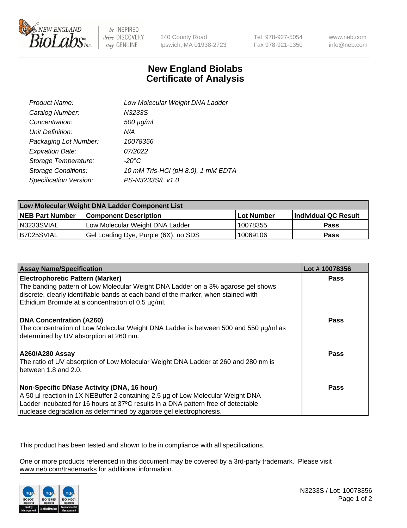

be INSPIRED drive DISCOVERY stay GENUINE

240 County Road Ipswich, MA 01938-2723 Tel 978-927-5054 Fax 978-921-1350

www.neb.com info@neb.com

## **New England Biolabs Certificate of Analysis**

| Product Name:              | Low Molecular Weight DNA Ladder    |
|----------------------------|------------------------------------|
| Catalog Number:            | N3233S                             |
| Concentration:             | $500 \mu g/ml$                     |
| Unit Definition:           | N/A                                |
| Packaging Lot Number:      | 10078356                           |
| <b>Expiration Date:</b>    | 07/2022                            |
| Storage Temperature:       | $-20^{\circ}$ C                    |
| <b>Storage Conditions:</b> | 10 mM Tris-HCl (pH 8.0), 1 mM EDTA |
| Specification Version:     | PS-N3233S/L v1.0                   |

| Low Molecular Weight DNA Ladder Component List |                                      |            |                      |  |
|------------------------------------------------|--------------------------------------|------------|----------------------|--|
| <b>NEB Part Number</b>                         | <b>Component Description</b>         | Lot Number | Individual QC Result |  |
| N3233SVIAL                                     | Low Molecular Weight DNA Ladder      | 10078355   | <b>Pass</b>          |  |
| B7025SVIAL                                     | Gel Loading Dye, Purple (6X), no SDS | 10069106   | <b>Pass</b>          |  |

| <b>Assay Name/Specification</b>                                                                                                                                                                                                                                                          | Lot #10078356 |
|------------------------------------------------------------------------------------------------------------------------------------------------------------------------------------------------------------------------------------------------------------------------------------------|---------------|
| <b>Electrophoretic Pattern (Marker)</b><br>The banding pattern of Low Molecular Weight DNA Ladder on a 3% agarose gel shows<br>discrete, clearly identifiable bands at each band of the marker, when stained with<br>Ethidium Bromide at a concentration of 0.5 µg/ml.                   | <b>Pass</b>   |
| <b>DNA Concentration (A260)</b><br>The concentration of Low Molecular Weight DNA Ladder is between 500 and 550 µg/ml as<br>determined by UV absorption at 260 nm.                                                                                                                        | Pass          |
| <b>A260/A280 Assay</b><br>The ratio of UV absorption of Low Molecular Weight DNA Ladder at 260 and 280 nm is<br>between 1.8 and 2.0.                                                                                                                                                     | Pass          |
| Non-Specific DNase Activity (DNA, 16 hour)<br>A 50 µl reaction in 1X NEBuffer 2 containing 2.5 µg of Low Molecular Weight DNA<br>Ladder incubated for 16 hours at 37°C results in a DNA pattern free of detectable<br>nuclease degradation as determined by agarose gel electrophoresis. | <b>Pass</b>   |

This product has been tested and shown to be in compliance with all specifications.

One or more products referenced in this document may be covered by a 3rd-party trademark. Please visit <www.neb.com/trademarks>for additional information.